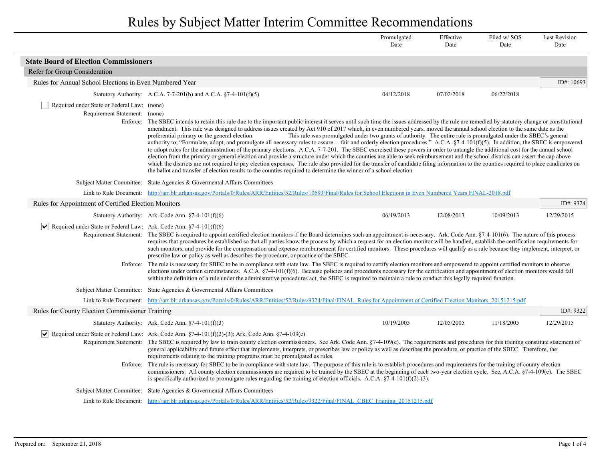|                                                                                               |                                                                                                                                                                                                                                                                                                                                                                                                                                                                                                                                                                                                                                                                                                                                                                                                                                                                                                                                                                                                                                                                                                                                                                                                                                                                                                                                                                                                                        | Promulgated<br>Date | Effective<br>Date | Filed w/SOS<br>Date | <b>Last Revision</b><br>Date |
|-----------------------------------------------------------------------------------------------|------------------------------------------------------------------------------------------------------------------------------------------------------------------------------------------------------------------------------------------------------------------------------------------------------------------------------------------------------------------------------------------------------------------------------------------------------------------------------------------------------------------------------------------------------------------------------------------------------------------------------------------------------------------------------------------------------------------------------------------------------------------------------------------------------------------------------------------------------------------------------------------------------------------------------------------------------------------------------------------------------------------------------------------------------------------------------------------------------------------------------------------------------------------------------------------------------------------------------------------------------------------------------------------------------------------------------------------------------------------------------------------------------------------------|---------------------|-------------------|---------------------|------------------------------|
| <b>State Board of Election Commissioners</b>                                                  |                                                                                                                                                                                                                                                                                                                                                                                                                                                                                                                                                                                                                                                                                                                                                                                                                                                                                                                                                                                                                                                                                                                                                                                                                                                                                                                                                                                                                        |                     |                   |                     |                              |
| Refer for Group Consideration                                                                 |                                                                                                                                                                                                                                                                                                                                                                                                                                                                                                                                                                                                                                                                                                                                                                                                                                                                                                                                                                                                                                                                                                                                                                                                                                                                                                                                                                                                                        |                     |                   |                     |                              |
| Rules for Annual School Elections in Even Numbered Year                                       |                                                                                                                                                                                                                                                                                                                                                                                                                                                                                                                                                                                                                                                                                                                                                                                                                                                                                                                                                                                                                                                                                                                                                                                                                                                                                                                                                                                                                        |                     |                   |                     | ID#: 10693                   |
|                                                                                               | Statutory Authority: A.C.A. 7-7-201(b) and A.C.A. §7-4-101(f)(5)                                                                                                                                                                                                                                                                                                                                                                                                                                                                                                                                                                                                                                                                                                                                                                                                                                                                                                                                                                                                                                                                                                                                                                                                                                                                                                                                                       | 04/12/2018          | 07/02/2018        | 06/22/2018          |                              |
| Required under State or Federal Law: (none)<br>Requirement Statement: (none)                  | Enforce: The SBEC intends to retain this rule due to the important public interest it serves until such time the issues addressed by the rule are remedied by statutory change or constitutional<br>amendment. This rule was designed to address issues created by Act 910 of 2017 which, in even numbered years, moved the annual school election to the same date as the<br>preferential primary or the general election.<br>This rule was promulgated under two grants of authority. The entire rule is promulgated under the SBEC's general<br>authority to; "Formulate, adopt, and promulgate all necessary rules to assure fair and orderly election procedures." A.C.A. §7-4-101(f)(5). In addition, the SBEC is empowered<br>to adopt rules for the administration of the primary elections. A.C.A. 7-7-201. The SBEC exercised these powers in order to untangle the additional cost for the annual school<br>election from the primary or general election and provide a structure under which the counties are able to seek reimbursement and the school districts can assert the cap above<br>which the districts are not required to pay election expenses. The rule also provided for the transfer of candidate filing information to the counties required to place candidates on<br>the ballot and transfer of election results to the counties required to determine the winner of a school election. |                     |                   |                     |                              |
|                                                                                               | Subject Matter Committee: State Agencies & Governental Affairs Committees                                                                                                                                                                                                                                                                                                                                                                                                                                                                                                                                                                                                                                                                                                                                                                                                                                                                                                                                                                                                                                                                                                                                                                                                                                                                                                                                              |                     |                   |                     |                              |
|                                                                                               | Link to Rule Document: http://arr.blr.arkansas.gov/Portals/0/Rules/ARR/Entities/52/Rules/10693/Final/Rules for School Elections in Even Numbered Years FINAL-2018.pdf                                                                                                                                                                                                                                                                                                                                                                                                                                                                                                                                                                                                                                                                                                                                                                                                                                                                                                                                                                                                                                                                                                                                                                                                                                                  |                     |                   |                     |                              |
| Rules for Appointment of Certified Election Monitors                                          |                                                                                                                                                                                                                                                                                                                                                                                                                                                                                                                                                                                                                                                                                                                                                                                                                                                                                                                                                                                                                                                                                                                                                                                                                                                                                                                                                                                                                        |                     |                   |                     | ID#: 9324                    |
|                                                                                               | Statutory Authority: Ark. Code Ann. $\S7-4-101(f)(6)$                                                                                                                                                                                                                                                                                                                                                                                                                                                                                                                                                                                                                                                                                                                                                                                                                                                                                                                                                                                                                                                                                                                                                                                                                                                                                                                                                                  | 06/19/2013          | 12/08/2013        | 10/09/2013          | 12/29/2015                   |
| $ \mathbf{v} $ Required under State or Federal Law: Ark. Code Ann. §7-4-101(f)(6)<br>Enforce: | Requirement Statement: The SBEC is required to appoint certified election monitors if the Board determines such an appointment is necessary. Ark. Code Ann. §7-4-101(6). The nature of this process<br>requires that procedures be established so that all parties know the process by which a request for an election monitor will be handled, establish the certification requirements for<br>such monitors, and provide for the compensation and expense reimbursement for certified monitors. These procedures will qualify as a rule because they implement, interpret, or<br>prescribe law or policy as well as describes the procedure, or practice of the SBEC.<br>The rule is necessary for SBEC to be in compliance with state law. The SBEC is required to certify election monitors and empowered to appoint certified monitors to observe                                                                                                                                                                                                                                                                                                                                                                                                                                                                                                                                                                 |                     |                   |                     |                              |
|                                                                                               | elections under certain circumstances. A.C.A. $\S$ 7-4-101(f)(6). Because policies and procedures necessary for the certification and appointment of election monitors would fall<br>within the definition of a rule under the administrative procedures act, the SBEC is required to maintain a rule to conduct this legally required function.                                                                                                                                                                                                                                                                                                                                                                                                                                                                                                                                                                                                                                                                                                                                                                                                                                                                                                                                                                                                                                                                       |                     |                   |                     |                              |
|                                                                                               | Subject Matter Committee: State Agencies & Governental Affairs Committees                                                                                                                                                                                                                                                                                                                                                                                                                                                                                                                                                                                                                                                                                                                                                                                                                                                                                                                                                                                                                                                                                                                                                                                                                                                                                                                                              |                     |                   |                     |                              |
|                                                                                               | Link to Rule Document: http://arr.blr.arkansas.gov/Portals/0/Rules/ARR/Entities/52/Rules/9324/Final/FINAL Rules for Appointment of Certified Election Monitors 20151215.pdf                                                                                                                                                                                                                                                                                                                                                                                                                                                                                                                                                                                                                                                                                                                                                                                                                                                                                                                                                                                                                                                                                                                                                                                                                                            |                     |                   |                     |                              |
| <b>Rules for County Election Commissioner Training</b>                                        |                                                                                                                                                                                                                                                                                                                                                                                                                                                                                                                                                                                                                                                                                                                                                                                                                                                                                                                                                                                                                                                                                                                                                                                                                                                                                                                                                                                                                        |                     |                   |                     | ID#: 9322                    |
|                                                                                               | Statutory Authority: Ark. Code Ann. §7-4-101(f)(3)                                                                                                                                                                                                                                                                                                                                                                                                                                                                                                                                                                                                                                                                                                                                                                                                                                                                                                                                                                                                                                                                                                                                                                                                                                                                                                                                                                     | 10/19/2005          | 12/05/2005        | 11/18/2005          | 12/29/2015                   |
| $ \bm{\mathsf{v}} $                                                                           | Required under State or Federal Law: Ark. Code Ann. $\S$ 7-4-101(f)(2)-(3); Ark. Code Ann. $\S$ 7-4-109(e)<br>Requirement Statement: The SBEC is required by law to train county election commissioners. See Ark. Code Ann. §7-4-109(e). The requirements and procedures for this training constitute statement of<br>general applicability and future effect that implements, interprets, or prescribes law or policy as well as describes the procedure, or practice of the SBEC. Therefore, the<br>requirements relating to the training programs must be promulgated as rules.                                                                                                                                                                                                                                                                                                                                                                                                                                                                                                                                                                                                                                                                                                                                                                                                                                     |                     |                   |                     |                              |
|                                                                                               | Enforce: The rule is necessary for SBEC to be in compliance with state law. The purpose of this rule is to establish procedures and requirements for the training of county election<br>commissioners. All county election commissioners are required to be trained by the SBEC at the beginning of each two-year election cycle. See, A.C.A. §7-4-109(e). The SBEC<br>is specifically authorized to promulgate rules regarding the training of election officials. A.C.A. $\S$ 7-4-101(f)(2)-(3).                                                                                                                                                                                                                                                                                                                                                                                                                                                                                                                                                                                                                                                                                                                                                                                                                                                                                                                     |                     |                   |                     |                              |
|                                                                                               | Subject Matter Committee: State Agencies & Governental Affairs Committees                                                                                                                                                                                                                                                                                                                                                                                                                                                                                                                                                                                                                                                                                                                                                                                                                                                                                                                                                                                                                                                                                                                                                                                                                                                                                                                                              |                     |                   |                     |                              |
|                                                                                               | Link to Rule Document: http://arr.blr.arkansas.gov/Portals/0/Rules/ARR/Entities/52/Rules/9322/Final/FINAL CBEC Training 20151215.pdf                                                                                                                                                                                                                                                                                                                                                                                                                                                                                                                                                                                                                                                                                                                                                                                                                                                                                                                                                                                                                                                                                                                                                                                                                                                                                   |                     |                   |                     |                              |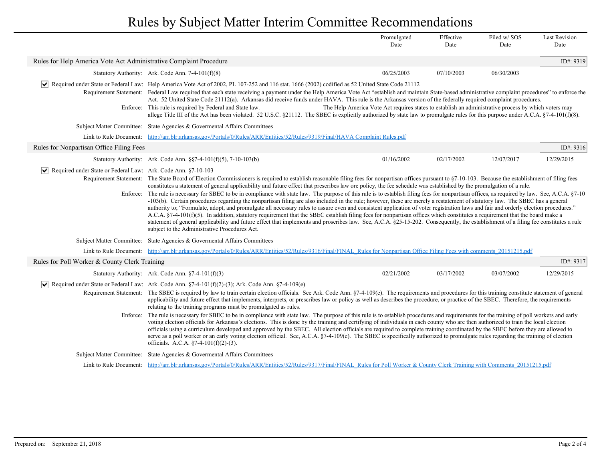|                                                                              |                                                                                                                                                                                                                                                                                                                                                                                                                                                                                                                                                                                                                                                                                                                                                                                                                                                                                                                                                                                                                                                                                                                                                                                                                                                                                                                                                                                 | Promulgated<br>Date                                                                                  | Effective<br>Date | Filed w/SOS<br>Date | <b>Last Revision</b><br>Date |
|------------------------------------------------------------------------------|---------------------------------------------------------------------------------------------------------------------------------------------------------------------------------------------------------------------------------------------------------------------------------------------------------------------------------------------------------------------------------------------------------------------------------------------------------------------------------------------------------------------------------------------------------------------------------------------------------------------------------------------------------------------------------------------------------------------------------------------------------------------------------------------------------------------------------------------------------------------------------------------------------------------------------------------------------------------------------------------------------------------------------------------------------------------------------------------------------------------------------------------------------------------------------------------------------------------------------------------------------------------------------------------------------------------------------------------------------------------------------|------------------------------------------------------------------------------------------------------|-------------------|---------------------|------------------------------|
| Rules for Help America Vote Act Administrative Complaint Procedure           |                                                                                                                                                                                                                                                                                                                                                                                                                                                                                                                                                                                                                                                                                                                                                                                                                                                                                                                                                                                                                                                                                                                                                                                                                                                                                                                                                                                 |                                                                                                      |                   |                     | ID#: 9319                    |
|                                                                              | Statutory Authority: Ark. Code Ann. 7-4-101(f)(8)                                                                                                                                                                                                                                                                                                                                                                                                                                                                                                                                                                                                                                                                                                                                                                                                                                                                                                                                                                                                                                                                                                                                                                                                                                                                                                                               | 06/25/2003                                                                                           | 07/10/2003        | 06/30/2003          |                              |
|                                                                              | Required under State or Federal Law: Help America Vote Act of 2002, PL 107-252 and 116 stat. 1666 (2002) codified as 52 United State Code 21112<br>Requirement Statement: Federal Law required that each state receiving a payment under the Help America Vote Act "establish and maintain State-based administrative complaint procedures" to enforce the<br>Act. 52 United State Code 21112(a). Arkansas did receive funds under HAVA. This rule is the Arkansas version of the federally required complaint procedures.<br>Enforce: This rule is required by Federal and State law.<br>allege Title III of the Act has been violated. 52 U.S.C. §21112. The SBEC is explicitly authorized by state law to promulgate rules for this purpose under A.C.A. §7-4-101(f)(8).                                                                                                                                                                                                                                                                                                                                                                                                                                                                                                                                                                                                     | The Help America Vote Act requires states to establish an administrative process by which voters may |                   |                     |                              |
|                                                                              | Subject Matter Committee: State Agencies & Governmental Affairs Committees                                                                                                                                                                                                                                                                                                                                                                                                                                                                                                                                                                                                                                                                                                                                                                                                                                                                                                                                                                                                                                                                                                                                                                                                                                                                                                      |                                                                                                      |                   |                     |                              |
| Link to Rule Document:                                                       | http://arr.blr.arkansas.gov/Portals/0/Rules/ARR/Entities/52/Rules/9319/Final/HAVA Complaint Rules.pdf                                                                                                                                                                                                                                                                                                                                                                                                                                                                                                                                                                                                                                                                                                                                                                                                                                                                                                                                                                                                                                                                                                                                                                                                                                                                           |                                                                                                      |                   |                     |                              |
| Rules for Nonpartisan Office Filing Fees                                     |                                                                                                                                                                                                                                                                                                                                                                                                                                                                                                                                                                                                                                                                                                                                                                                                                                                                                                                                                                                                                                                                                                                                                                                                                                                                                                                                                                                 |                                                                                                      |                   |                     | ID#: $9316$                  |
|                                                                              | Statutory Authority: Ark. Code Ann. $\S$ $7-4-101(f)(5)$ , $7-10-103(b)$                                                                                                                                                                                                                                                                                                                                                                                                                                                                                                                                                                                                                                                                                                                                                                                                                                                                                                                                                                                                                                                                                                                                                                                                                                                                                                        | 01/16/2002                                                                                           | 02/17/2002        | 12/07/2017          | 12/29/2015                   |
| $ \mathbf{v} $ Required under State or Federal Law: Ark. Code Ann. §7-10-103 | Requirement Statement: The State Board of Election Commissioners is required to establish reasonable filing fees for nonpartisan offices pursuant to §7-10-103. Because the establishment of filing fees<br>constitutes a statement of general applicability and future effect that prescribes law ore policy, the fee schedule was established by the promulgation of a rule.<br>Enforce: The rule is necessary for SBEC to be in compliance with state law. The purpose of this rule is to establish filing fees for nonpartisan offices, as required by law. See, A.C.A. §7-10<br>-103(b). Certain procedures regarding the nonpartisan filing are also included in the rule; however, these are merely a restatement of statutory law. The SBEC has a general<br>authority to; "Formulate, adopt, and promulgate all necessary rules to assure even and consistent application of voter registration laws and fair and orderly election procedures."<br>A.C.A. §7-4-101(f)(5). In addition, statutory requirement that the SBEC establish filing fees for nonpartisan offices which constitutes a requirement that the board make a<br>statement of general applicability and future effect that implements and proscribes law. See, A.C.A. §25-15-202. Consequently, the establishment of a filing fee constitutes a rule<br>subject to the Administrative Procedures Act. |                                                                                                      |                   |                     |                              |
|                                                                              | Subject Matter Committee: State Agencies & Governental Affairs Committees                                                                                                                                                                                                                                                                                                                                                                                                                                                                                                                                                                                                                                                                                                                                                                                                                                                                                                                                                                                                                                                                                                                                                                                                                                                                                                       |                                                                                                      |                   |                     |                              |
|                                                                              | Link to Rule Document: http://arr.blr.arkansas.gov/Portals/0/Rules/ARR/Entities/52/Rules/9316/Final/FINAL Rules for Nonpartisan Office Filing Fees with comments 20151215.pdf                                                                                                                                                                                                                                                                                                                                                                                                                                                                                                                                                                                                                                                                                                                                                                                                                                                                                                                                                                                                                                                                                                                                                                                                   |                                                                                                      |                   |                     |                              |
| Rules for Poll Worker & County Clerk Training                                |                                                                                                                                                                                                                                                                                                                                                                                                                                                                                                                                                                                                                                                                                                                                                                                                                                                                                                                                                                                                                                                                                                                                                                                                                                                                                                                                                                                 |                                                                                                      |                   |                     | ID#: 9317                    |
|                                                                              | Statutory Authority: Ark. Code Ann. $\S$ 7-4-101(f)(3)                                                                                                                                                                                                                                                                                                                                                                                                                                                                                                                                                                                                                                                                                                                                                                                                                                                                                                                                                                                                                                                                                                                                                                                                                                                                                                                          | 02/21/2002                                                                                           | 03/17/2002        | 03/07/2002          | 12/29/2015                   |
|                                                                              | $\blacktriangleright$ Required under State or Federal Law: Ark. Code Ann. §7-4-101(f)(2)-(3); Ark. Code Ann. §7-4-109(e)<br>Requirement Statement: The SBEC is required by law to train certain election officials. See Ark. Code Ann. §7-4-109(e). The requirements and procedures for this training constitute statement of general<br>applicability and future effect that implements, interprets, or prescribes law or policy as well as describes the procedure, or practice of the SBEC. Therefore, the requirements<br>relating to the training programs must be promulgated as rules.                                                                                                                                                                                                                                                                                                                                                                                                                                                                                                                                                                                                                                                                                                                                                                                   |                                                                                                      |                   |                     |                              |
|                                                                              | Enforce: The rule is necessary for SBEC to be in compliance with state law. The purpose of this rule is to establish procedures and requirements for the training of poll workers and early<br>voting election officials for Arkansas's elections. This is done by the training and certifying of individuals in each county who are then authorized to train the local election<br>officials using a curriculum developed and approved by the SBEC. All election officials are required to complete training coordinated by the SBEC before they are allowed to<br>serve as a poll worker or an early voting election official. See, A.C.A. §7-4-109(e). The SBEC is specifically authorized to promulgate rules regarding the training of election<br>officials. A.C.A. $\S$ 7-4-101(f)(2)-(3).                                                                                                                                                                                                                                                                                                                                                                                                                                                                                                                                                                               |                                                                                                      |                   |                     |                              |
|                                                                              | Subject Matter Committee: State Agencies & Governental Affairs Committees                                                                                                                                                                                                                                                                                                                                                                                                                                                                                                                                                                                                                                                                                                                                                                                                                                                                                                                                                                                                                                                                                                                                                                                                                                                                                                       |                                                                                                      |                   |                     |                              |
|                                                                              | Link to Rule Document: http://arr.blr.arkansas.gov/Portals/0/Rules/ARR/Entities/52/Rules/9317/Final/FINAL Rules for Poll Worker & County Clerk Training with Comments 20151215.pdf                                                                                                                                                                                                                                                                                                                                                                                                                                                                                                                                                                                                                                                                                                                                                                                                                                                                                                                                                                                                                                                                                                                                                                                              |                                                                                                      |                   |                     |                              |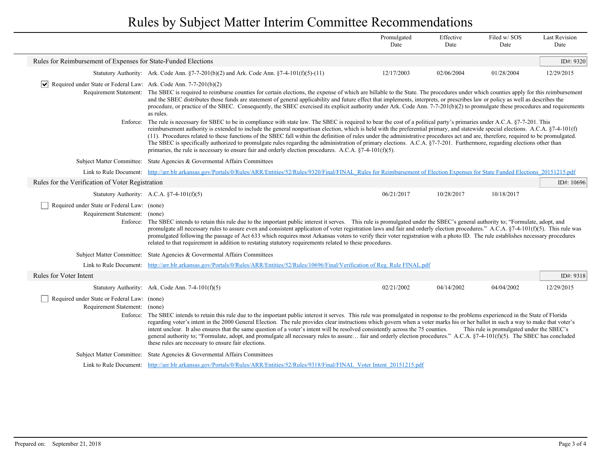|                                                                                          |                                                                                                                                                                                                                                                                                                                                                                                                                                                                                                                                                                                                                                                                                                                                                                                                                                             | Promulgated<br>Date | Effective<br>Date | Filed w/SOS<br>Date | <b>Last Revision</b><br>Date |
|------------------------------------------------------------------------------------------|---------------------------------------------------------------------------------------------------------------------------------------------------------------------------------------------------------------------------------------------------------------------------------------------------------------------------------------------------------------------------------------------------------------------------------------------------------------------------------------------------------------------------------------------------------------------------------------------------------------------------------------------------------------------------------------------------------------------------------------------------------------------------------------------------------------------------------------------|---------------------|-------------------|---------------------|------------------------------|
| Rules for Reimbursement of Expenses for State-Funded Elections                           |                                                                                                                                                                                                                                                                                                                                                                                                                                                                                                                                                                                                                                                                                                                                                                                                                                             |                     |                   |                     | ID#: 9320                    |
|                                                                                          | Statutory Authority: Ark. Code Ann. $\S7-7-201(b)(2)$ and Ark. Code Ann. $\S7-4-101(f)(5)-(11)$                                                                                                                                                                                                                                                                                                                                                                                                                                                                                                                                                                                                                                                                                                                                             | 12/17/2003          | 02/06/2004        | 01/28/2004          | 12/29/2015                   |
| $ \mathbf{v} $ Required under State or Federal Law: Ark. Code Ann. 7-7-201(b)(2)         |                                                                                                                                                                                                                                                                                                                                                                                                                                                                                                                                                                                                                                                                                                                                                                                                                                             |                     |                   |                     |                              |
|                                                                                          | Requirement Statement: The SBEC is required to reimburse counties for certain elections, the expense of which are billable to the State. The procedures under which counties apply for this reimbursement<br>and the SBEC distributes those funds are statement of general applicability and future effect that implements, interprets, or prescribes law or policy as well as describes the<br>procedure, or practice of the SBEC. Consequently, the SBEC exercised its explicit authority under Ark. Code Ann. 7-7-201(b)(2) to promulgate these procedures and requirements<br>as rules.                                                                                                                                                                                                                                                 |                     |                   |                     |                              |
| Enforce:                                                                                 | The rule is necessary for SBEC to be in compliance with state law. The SBEC is required to bear the cost of a political party's primaries under A.C.A. §7-7-201. This<br>reimbursement authority is extended to include the general nonpartisan election, which is held with the preferential primary, and statewide special elections. A.C.A. §7-4-101(f)<br>(11). Procedures related to these functions of the SBEC fall within the definition of rules under the administrative procedures act and are, therefore, required to be promulgated.<br>The SBEC is specifically authorized to promulgate rules regarding the administration of primary elections. A.C.A. §7-7-201. Furthermore, regarding elections other than<br>primaries, the rule is necessary to ensure fair and orderly election procedures. A.C.A. $\S$ 7-4-101(f)(5). |                     |                   |                     |                              |
|                                                                                          | Subject Matter Committee: State Agencies & Governental Affairs Committees                                                                                                                                                                                                                                                                                                                                                                                                                                                                                                                                                                                                                                                                                                                                                                   |                     |                   |                     |                              |
|                                                                                          | Link to Rule Document: http://arr.blr.arkansas.gov/Portals/0/Rules/ARR/Entities/52/Rules/9320/Final/FINAL Rules for Reimbursement of Election Expenses for State Funded Elections 20151215.pdf                                                                                                                                                                                                                                                                                                                                                                                                                                                                                                                                                                                                                                              |                     |                   |                     |                              |
| Rules for the Verification of Voter Registration                                         |                                                                                                                                                                                                                                                                                                                                                                                                                                                                                                                                                                                                                                                                                                                                                                                                                                             |                     |                   |                     | ID#: 10696                   |
|                                                                                          | Statutory Authority: A.C.A. $§7-4-101(f)(5)$                                                                                                                                                                                                                                                                                                                                                                                                                                                                                                                                                                                                                                                                                                                                                                                                | 06/21/2017          | 10/28/2017        | 10/18/2017          |                              |
| Required under State or Federal Law: (none)<br>Requirement Statement: (none)<br>Enforce: | The SBEC intends to retain this rule due to the important public interest it serves. This rule is promulgated under the SBEC's general authority to; "Formulate, adopt, and<br>promulgate all necessary rules to assure even and consistent application of voter registration laws and fair and orderly election procedures." A.C.A. §7-4-101(f)(5). This rule was<br>promulgated following the passage of Act 633 which requires most Arkansas voters to verify their voter registration with a photo ID. The rule establishes necessary procedures<br>related to that requirement in addition to restating statutory requirements related to these procedures.                                                                                                                                                                            |                     |                   |                     |                              |
|                                                                                          | Subject Matter Committee: State Agencies & Governental Affairs Committees                                                                                                                                                                                                                                                                                                                                                                                                                                                                                                                                                                                                                                                                                                                                                                   |                     |                   |                     |                              |
|                                                                                          | Link to Rule Document: http://arr.blr.arkansas.gov/Portals/0/Rules/ARR/Entities/52/Rules/10696/Final/Verification of Reg. Rule FINAL.pdf                                                                                                                                                                                                                                                                                                                                                                                                                                                                                                                                                                                                                                                                                                    |                     |                   |                     |                              |
| Rules for Voter Intent                                                                   |                                                                                                                                                                                                                                                                                                                                                                                                                                                                                                                                                                                                                                                                                                                                                                                                                                             |                     |                   |                     | ID#: 9318                    |
|                                                                                          | Statutory Authority: Ark. Code Ann. 7-4-101(f)(5)                                                                                                                                                                                                                                                                                                                                                                                                                                                                                                                                                                                                                                                                                                                                                                                           | 02/21/2002          | 04/14/2002        | 04/04/2002          | 12/29/2015                   |
| Required under State or Federal Law: (none)<br>Requirement Statement: (none)<br>Enforce: | The SBEC intends to retain this rule due to the important public interest it serves. This rule was promulgated in response to the problems experienced in the State of Florida<br>regarding voter's intent in the 2000 General Election. The rule provides clear instructions which govern when a voter marks his or her ballot in such a way to make that voter's<br>intent unclear. It also ensures that the same question of a voter's intent will be resolved consistently across the 75 counties.<br>This rule is promulgated under the SBEC's<br>general authority to; "Formulate, adopt, and promulgate all necessary rules to assure fair and orderly election procedures." A.C.A. §7-4-101(f)(5). The SBEC has concluded<br>these rules are necessary to ensure fair elections.                                                    |                     |                   |                     |                              |
|                                                                                          | Subject Matter Committee: State Agencies & Governental Affairs Committees                                                                                                                                                                                                                                                                                                                                                                                                                                                                                                                                                                                                                                                                                                                                                                   |                     |                   |                     |                              |
|                                                                                          | Link to Rule Document: http://arr.blr.arkansas.gov/Portals/0/Rules/ARR/Entities/52/Rules/9318/Final/FINAL Voter Intent 20151215.pdf                                                                                                                                                                                                                                                                                                                                                                                                                                                                                                                                                                                                                                                                                                         |                     |                   |                     |                              |